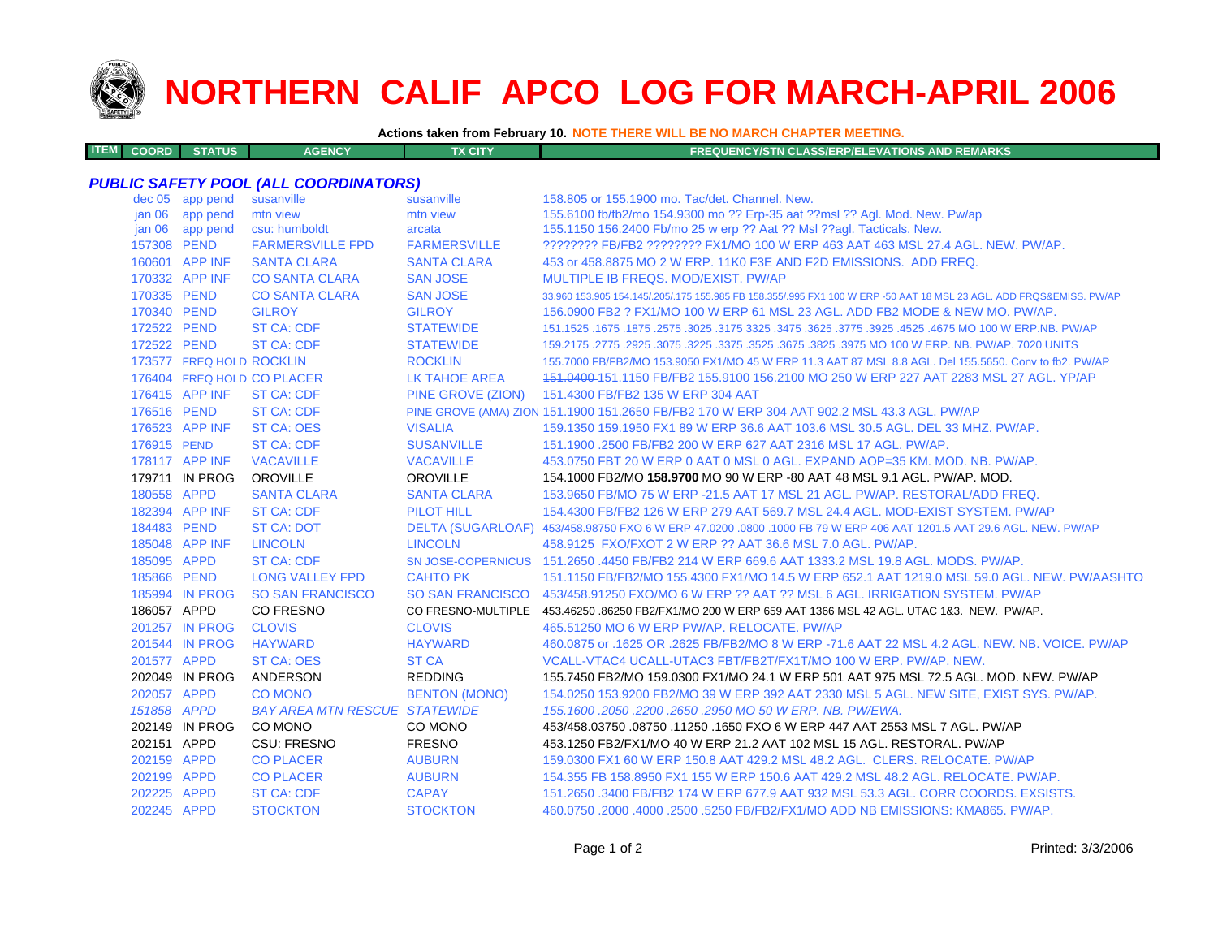

**ITEM**

# **NORTHERN CALIF APCO LOG FOR MARCH-APRIL 2006**

**Actions taken from February 10. NOTE THERE WILL BE NO MARCH CHAPTER MEETING.**

| <b>M COORD STATUS</b><br>TX CITY<br><b>AGENCY</b> | <b>FREQUENCY/STN CLASS/ERP/ELEVATIONS AND REMARKS</b> |
|---------------------------------------------------|-------------------------------------------------------|
|---------------------------------------------------|-------------------------------------------------------|

### *PUBLIC SAFETY POOL (ALL COORDINATORS)*

|                   | dec 05 app pend          | susanville                           | susanville           | 158.805 or 155.1900 mo. Tac/det. Channel. New.                                                                      |
|-------------------|--------------------------|--------------------------------------|----------------------|---------------------------------------------------------------------------------------------------------------------|
| jan 06            | app pend                 | mtn view                             | mtn view             | 155.6100 fb/fb2/mo 154.9300 mo ?? Erp-35 aat ??msl ?? Agl. Mod. New. Pw/ap                                          |
| jan <sub>06</sub> | app pend                 | csu: humboldt                        | arcata               | 155.1150 156.2400 Fb/mo 25 w erp ?? Aat ?? Msl ??aql. Tacticals. New.                                               |
| 157308 PEND       |                          | <b>FARMERSVILLE FPD</b>              | <b>FARMERSVILLE</b>  | ???????? FB/FB2 ???????? FX1/MO 100 W ERP 463 AAT 463 MSL 27.4 AGL, NEW, PW/AP,                                     |
|                   | 160601 APP INF           | <b>SANTA CLARA</b>                   | <b>SANTA CLARA</b>   | 453 or 458,8875 MO 2 W ERP, 11K0 F3E AND F2D EMISSIONS. ADD FREQ.                                                   |
|                   | 170332 APP INF           | <b>CO SANTA CLARA</b>                | <b>SAN JOSE</b>      | MULTIPLE IB FREQS, MOD/EXIST, PW/AP                                                                                 |
| 170335 PEND       |                          | <b>CO SANTA CLARA</b>                | <b>SAN JOSE</b>      | 33.960 153.905 154.145/.205/.175 155.985 FB 158.355/.995 FX1 100 W ERP -50 AAT 18 MSL 23 AGL. ADD FRQS&EMISS, PW/AP |
| 170340 PEND       |                          | <b>GILROY</b>                        | <b>GILROY</b>        | 156,0900 FB2 ? FX1/MO 100 W ERP 61 MSL 23 AGL, ADD FB2 MODE & NEW MO, PW/AP.                                        |
| 172522 PEND       |                          | <b>ST CA: CDF</b>                    | <b>STATEWIDE</b>     | 151.1525 .1675 MO 100 W ERP.NB. PW/AP .2575 .3625 .3475 .3625 .3475 .3625 .3175 .3025 .1675 .1675 .1675 .1675       |
| 172522 PEND       |                          | <b>ST CA: CDF</b>                    | <b>STATEWIDE</b>     | 159.2175 .2775 .2925 .3075 .3225 .3375 .3525 .3675 .3825 .3975 MO 100 W ERP. NB. PW/AP. 7020 UNITS                  |
|                   | 173577 FREQ HOLD ROCKLIN |                                      | <b>ROCKLIN</b>       | 155.7000 FB/FB2/MO 153.9050 FX1/MO 45 W ERP 11.3 AAT 87 MSL 8.8 AGL. Del 155.5650. Conv to fb2. PW/AP               |
|                   |                          | 176404 FREQ HOLD CO PLACER           | <b>LK TAHOE AREA</b> | 151.0400-151.1150 FB/FB2 155.9100 156.2100 MO 250 W ERP 227 AAT 2283 MSL 27 AGL. YP/AP                              |
|                   | 176415 APP INF           | <b>ST CA: CDF</b>                    | PINE GROVE (ZION)    | 151.4300 FB/FB2 135 W ERP 304 AAT                                                                                   |
| 176516 PEND       |                          | <b>ST CA: CDF</b>                    |                      | PINE GROVE (AMA) ZION 151.1900 151.2650 FB/FB2 170 W ERP 304 AAT 902.2 MSL 43.3 AGL. PW/AP                          |
|                   | 176523 APP INF           | <b>ST CA: OES</b>                    | <b>VISALIA</b>       | 159.1350 159.1950 FX1 89 W ERP 36.6 AAT 103.6 MSL 30.5 AGL. DEL 33 MHZ. PW/AP.                                      |
| 176915 PEND       |                          | <b>ST CA: CDF</b>                    | <b>SUSANVILLE</b>    | 151.1900 .2500 FB/FB2 200 W ERP 627 AAT 2316 MSL 17 AGL, PW/AP.                                                     |
|                   | 178117 APP INF           | <b>VACAVILLE</b>                     | <b>VACAVILLE</b>     | 453.0750 FBT 20 W ERP 0 AAT 0 MSL 0 AGL, EXPAND AOP=35 KM, MOD, NB, PW/AP,                                          |
|                   | 179711 IN PROG           | <b>OROVILLE</b>                      | <b>OROVILLE</b>      | 154.1000 FB2/MO 158.9700 MO 90 W ERP -80 AAT 48 MSL 9.1 AGL. PW/AP. MOD.                                            |
| 180558 APPD       |                          | <b>SANTA CLARA</b>                   | <b>SANTA CLARA</b>   | 153,9650 FB/MO 75 W ERP -21.5 AAT 17 MSL 21 AGL, PW/AP, RESTORAL/ADD FREQ.                                          |
|                   | 182394 APP INF           | <b>ST CA: CDF</b>                    | <b>PILOT HILL</b>    | 154,4300 FB/FB2 126 W ERP 279 AAT 569.7 MSL 24.4 AGL, MOD-EXIST SYSTEM, PW/AP                                       |
| 184483 PEND       |                          | <b>ST CA: DOT</b>                    |                      | DELTA (SUGARLOAF) 453/458.98750 FXO 6 W ERP 47.0200 .0800 .1000 FB 79 W ERP 406 AAT 1201.5 AAT 29.6 AGL. NEW. PW/AP |
|                   | 185048 APP INF           | <b>LINCOLN</b>                       | <b>LINCOLN</b>       | 458.9125 FXO/FXOT 2 W ERP ?? AAT 36.6 MSL 7.0 AGL, PW/AP.                                                           |
| 185095 APPD       |                          | <b>ST CA: CDF</b>                    |                      | SN JOSE-COPERNICUS 151.2650 .4450 FB/FB2 214 W ERP 669.6 AAT 1333.2 MSL 19.8 AGL. MODS. PW/AP.                      |
| 185866 PEND       |                          | <b>LONG VALLEY FPD</b>               | <b>CAHTO PK</b>      | 151.1150 FB/FB2/MO 155.4300 FX1/MO 14.5 W ERP 652.1 AAT 1219.0 MSL 59.0 AGL. NEW. PW/AASHTO                         |
|                   | 185994 IN PROG           | <b>SO SAN FRANCISCO</b>              |                      | SO SAN FRANCISCO 453/458.91250 FXO/MO 6 W ERP ?? AAT ?? MSL 6 AGL. IRRIGATION SYSTEM. PW/AP                         |
| 186057 APPD       |                          | <b>CO FRESNO</b>                     |                      | CO FRESNO-MULTIPLE 453.46250.86250 FB2/FX1/MO 200 W ERP 659 AAT 1366 MSL 42 AGL. UTAC 1&3. NEW. PW/AP.              |
|                   | 201257 IN PROG           | <b>CLOVIS</b>                        | <b>CLOVIS</b>        | 465.51250 MO 6 W ERP PW/AP, RELOCATE, PW/AP                                                                         |
|                   | 201544 IN PROG           | <b>HAYWARD</b>                       | <b>HAYWARD</b>       | 460.0875 or .1625 OR .2625 FB/FB2/MO 8 W ERP -71.6 AAT 22 MSL 4.2 AGL, NEW, NB, VOICE, PW/AP                        |
| 201577 APPD       |                          | <b>ST CA: OES</b>                    | <b>ST CA</b>         | VCALL-VTAC4 UCALL-UTAC3 FBT/FB2T/FX1T/MO 100 W ERP. PW/AP. NEW.                                                     |
|                   | 202049 IN PROG           | ANDERSON                             | <b>REDDING</b>       | 155.7450 FB2/MO 159.0300 FX1/MO 24.1 W ERP 501 AAT 975 MSL 72.5 AGL. MOD. NEW. PW/AP                                |
| 202057 APPD       |                          | <b>CO MONO</b>                       | <b>BENTON (MONO)</b> | 154.0250 153.9200 FB2/MO 39 W ERP 392 AAT 2330 MSL 5 AGL. NEW SITE, EXIST SYS. PW/AP.                               |
| 151858 APPD       |                          | <b>BAY AREA MTN RESCUE STATEWIDE</b> |                      | 155, 1600, 2050, 2200, 2650, 2950 MO 50 W ERP, NB, PW/EWA,                                                          |
|                   | 202149 IN PROG           | CO MONO                              | CO MONO              | 453/458.03750 .08750 .11250 .1650 FXO 6 W ERP 447 AAT 2553 MSL 7 AGL. PW/AP                                         |
| 202151 APPD       |                          | <b>CSU: FRESNO</b>                   | <b>FRESNO</b>        | 453.1250 FB2/FX1/MO 40 W ERP 21.2 AAT 102 MSL 15 AGL. RESTORAL. PW/AP                                               |
| 202159 APPD       |                          | <b>CO PLACER</b>                     | <b>AUBURN</b>        | 159,0300 FX1 60 W ERP 150.8 AAT 429.2 MSL 48.2 AGL. CLERS. RELOCATE. PW/AP                                          |
| 202199 APPD       |                          | <b>CO PLACER</b>                     | <b>AUBURN</b>        | 154,355 FB 158,8950 FX1 155 W ERP 150.6 AAT 429.2 MSL 48.2 AGL, RELOCATE, PW/AP.                                    |
| 202225 APPD       |                          | <b>ST CA: CDF</b>                    | <b>CAPAY</b>         | 151.2650 .3400 FB/FB2 174 W ERP 677.9 AAT 932 MSL 53.3 AGL, CORR COORDS, EXSISTS.                                   |
| 202245 APPD       |                          | <b>STOCKTON</b>                      | <b>STOCKTON</b>      | 460.0750 .2000 .4000 .2500 .5250 FB/FB2/FX1/MO ADD NB EMISSIONS: KMA865. PW/AP.                                     |
|                   |                          |                                      |                      |                                                                                                                     |